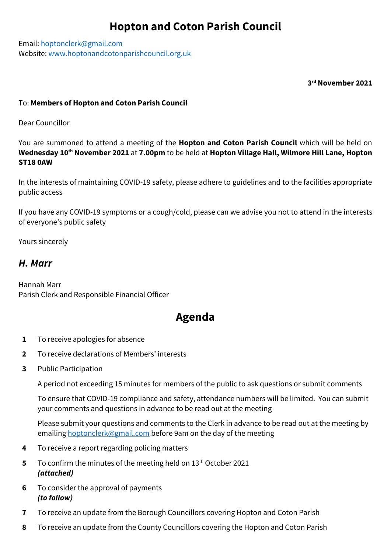## **Hopton and Coton Parish Council**

Email: [hoptonclerk@gmail.com](mailto:hoptonclerk@gmail.com) Website: [www.hoptonandcotonparishcouncil.org.uk](http://www.hoptonandcotonparishcouncil.org.uk/)

**3 rd November 2021**

## To: **Members of Hopton and Coton Parish Council**

Dear Councillor

You are summoned to attend a meeting of the **Hopton and Coton Parish Council** which will be held on **Wednesday 10th November 2021** at **7.00pm** to be held at **Hopton Village Hall, Wilmore Hill Lane, Hopton ST18 0AW**

In the interests of maintaining COVID-19 safety, please adhere to guidelines and to the facilities appropriate public access

If you have any COVID-19 symptoms or a cough/cold, please can we advise you not to attend in the interests of everyone's public safety

Yours sincerely

## *H. Marr*

Hannah Marr Parish Clerk and Responsible Financial Officer

## **Agenda**

- **1** To receive apologies for absence
- **2** To receive declarations of Members' interests
- **3** Public Participation

A period not exceeding 15 minutes for members of the public to ask questions or submit comments

To ensure that COVID-19 compliance and safety, attendance numbers will be limited. You can submit your comments and questions in advance to be read out at the meeting

Please submit your questions and comments to the Clerk in advance to be read out at the meeting by emailing [hoptonclerk@gmail.com](mailto:hoptonclerk@gmail.com) before 9am on the day of the meeting

- **4** To receive a report regarding policing matters
- **5** To confirm the minutes of the meeting held on 13<sup>th</sup> October 2021 *(attached)*
- **6** To consider the approval of payments *(to follow)*
- **7** To receive an update from the Borough Councillors covering Hopton and Coton Parish
- **8** To receive an update from the County Councillors covering the Hopton and Coton Parish